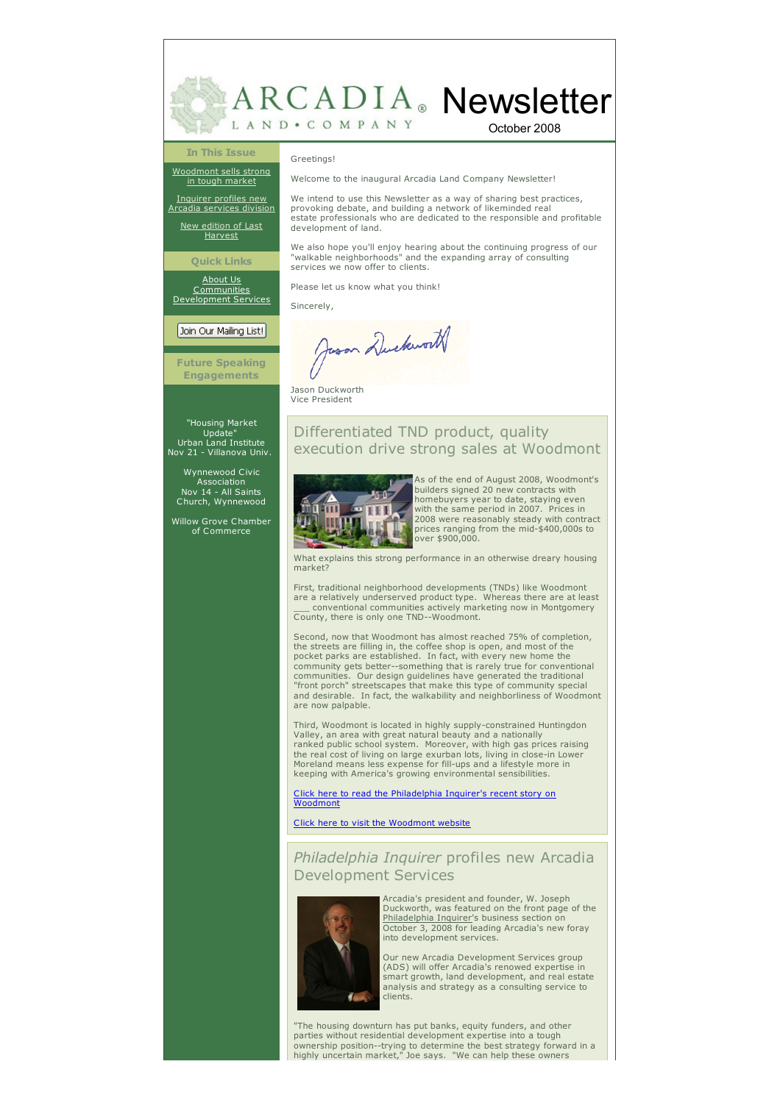

October 2008

#### **In This Issue**

[Woodmont](#page-0-0) sells strong in tough market

[Inquirer](#page-1-0) profiles new Arcadia services division

New [edition](#page-1-1) of Last Harvest

**Quick Links**

[About](http://www.arcadialand.com/about.html) Us Communitie

[Development](http://www.arcadialand.com/services.html) Services

## Join Our Mailing List!

**Future Speaking Engagements**

# "Housing Market Update" [Urban](http://www.arcadialand.com/) Land Institute Nov 21 - Villanova Univ.

Wynnewood Civic Association Nov 14 - All Saints Church, Wynnewood

Willow Grove Chamber of Commerce

Welcome to the inaugural Arcadia Land Company Newsletter!

We intend to use this Newsletter as a way of sharing best practices, provoking debate, and building a network of likeminded real estate professionals who are dedicated to the responsible and profitable development of land.

We also hope you'll enjoy hearing about the continuing progress of our "walkable neighborhoods" and the expanding array of consulting services we now offer to clients.

Please let us know what you think!

Sincerely,

Greetings!

Juson Duckworth

Jason Duckworth Vice President

## Differentiated TND product, quality execution drive strong sales at Woodmont



As of the end of August 2008, Woodmont's builders signed 20 new contracts with homebuyers year to date, staying even with the same period in 2007. Prices in 2008 were reasonably steady with contract prices ranging from the mid-\$400,000s to over \$900,000.

What explains this strong performance in an otherwise dreary housing market?

First, traditional neighborhood developments (TNDs) like Woodmont<br>are a relatively underserved product type. Whereas there are at least<br>\_ conventional communities actively marketing now in Montgomery County, there is only one TND--Woodmont.

Second, now that Woodmont has almost reached 75% of completion, the streets are filling in, the coffee shop is open, and most of the pocket parks are established. In fact, with every new home the community gets better--something that is rarely true for conventional communities. Our design guidelines have generated the traditional "front porch" streetscapes that make this type of community special and desirable. In fact, the walkability and neighborliness of Woodmont are now palpable.

Third, Woodmont is located in highly supply-constrained Huntingdon Valley, an area with great natural beauty and a nationally ranked public school system. Moreover, with high gas prices raising the real cost of living on large exurban lots, living in close-in Lower Moreland means less expense for fill-ups and a lifestyle more in keeping with America's growing environmental sensibilities.

Click here to read the [Philadelphia](http://www.philly.com/philly/hp/news_update/20080708_Housing_market_not_so_bad_in_right_niches.html?viewAll=y) Inquirer's recent story on Woodmont

#### Click here to visit the [Woodmont](http://www.woodmontpa.com/) website

#### <span id="page-0-0"></span>*Philadelphia Inquirer* profiles new Arcadia Development Services



Arcadia's president and founder, W. Joseph Duckworth, was featured on the front page of the Philadelphia Inquirer's business section on October 3, 2008 for leading Arcadia's new foray into development services.

Our new Arcadia Development Services group (ADS) will offer Arcadia's renowed expertise in smart growth, land development, and real estate analysis and strategy as a consulting service to clients.

"The housing downturn has put banks, equity funders, and other parties without residential development expertise into a tough ownership position--trying to determine the best strategy forward in a highly uncertain market," Joe says. "We can help these owners